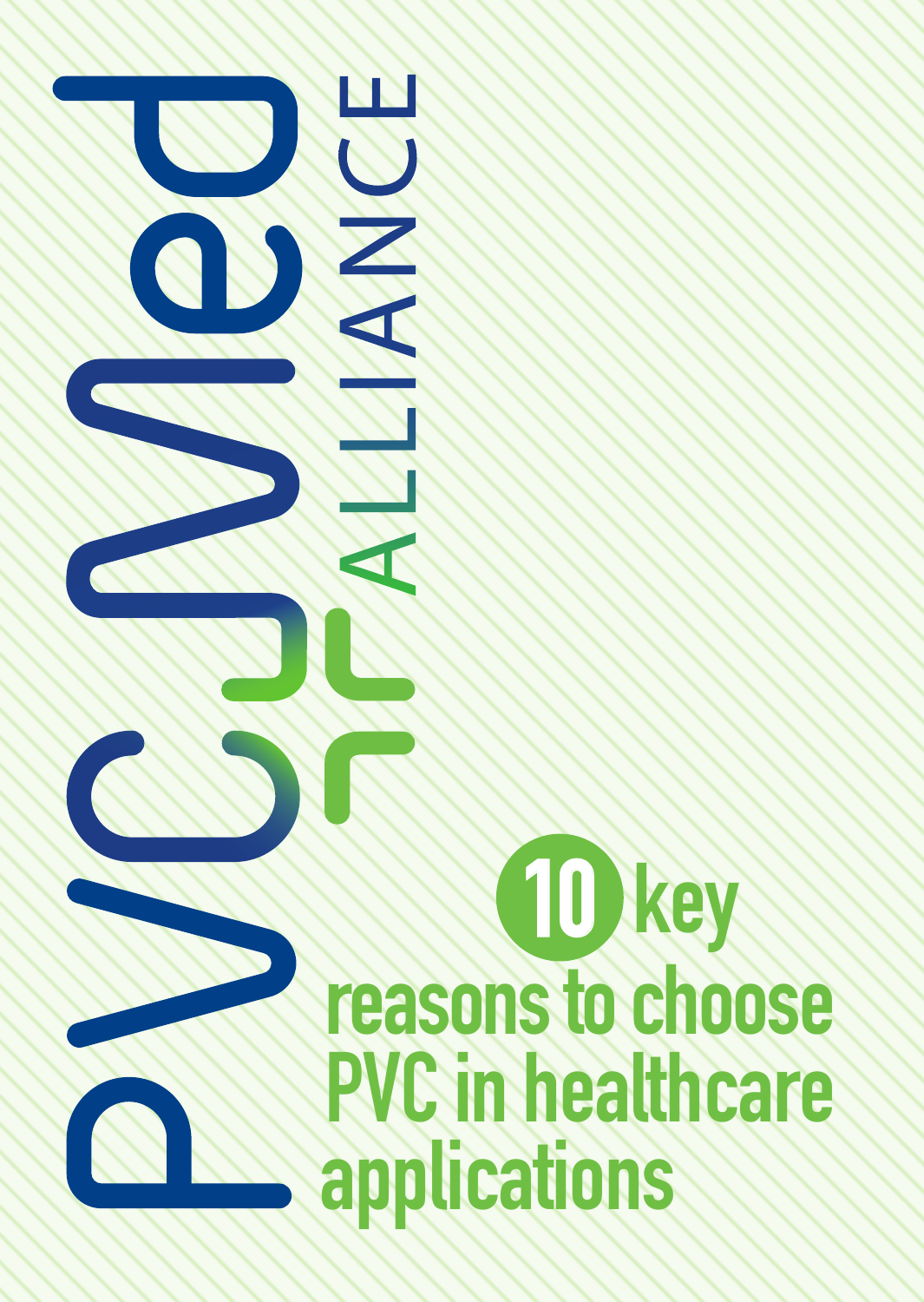

# **reasons to choose PVC in healthcare applications 10 key**

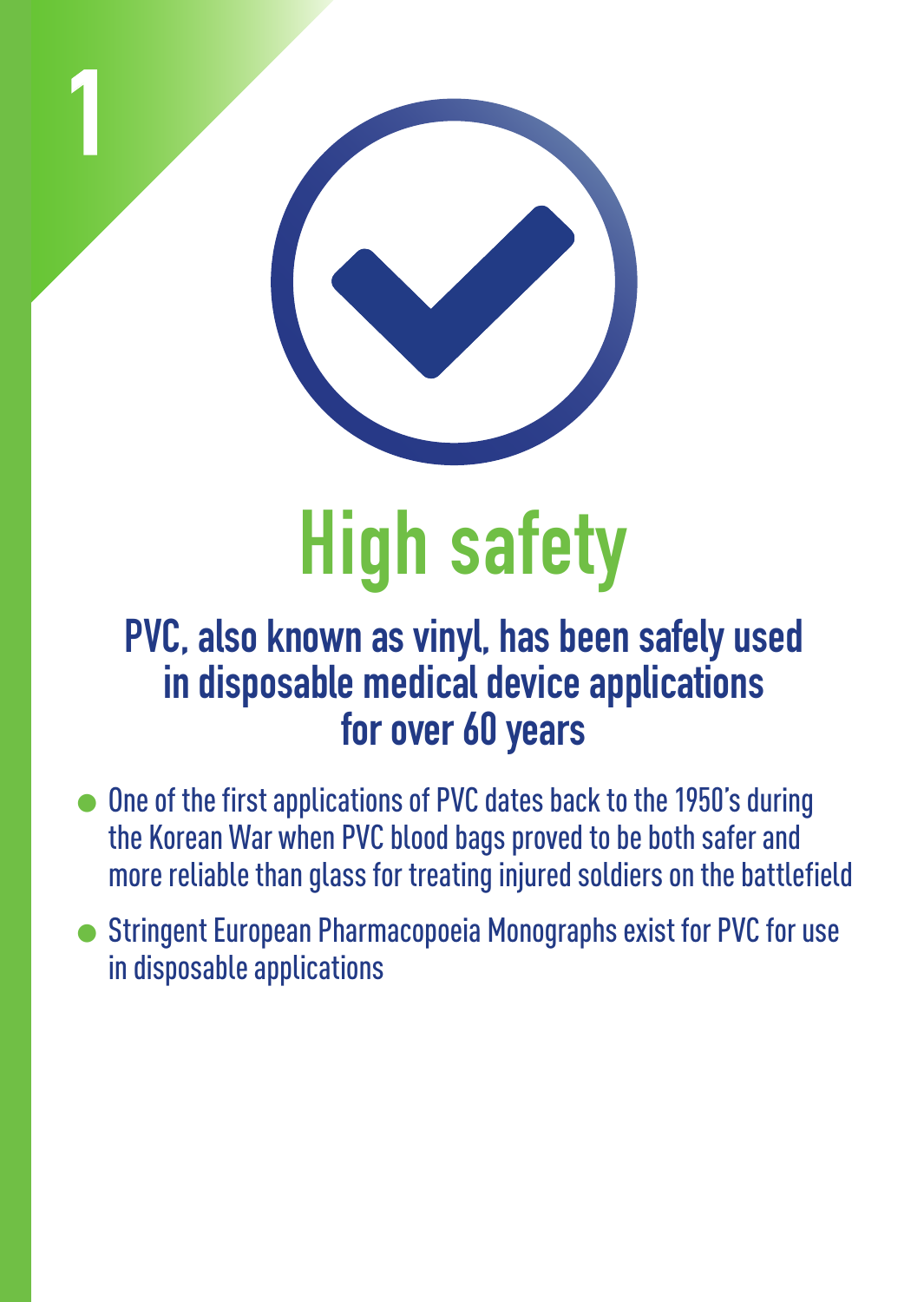

**1**

## **High safety**

#### **PVC, also known as vinyl, has been safely used in disposable medical device applications for over 60 years**

- 1One of the first applications of PVC dates back to the 1950's during the Korean War when PVC blood bags proved to be both safer and more reliable than glass for treating injured soldiers on the battlefield
- 1Stringent European Pharmacopoeia Monographs exist for PVC for use in disposable applications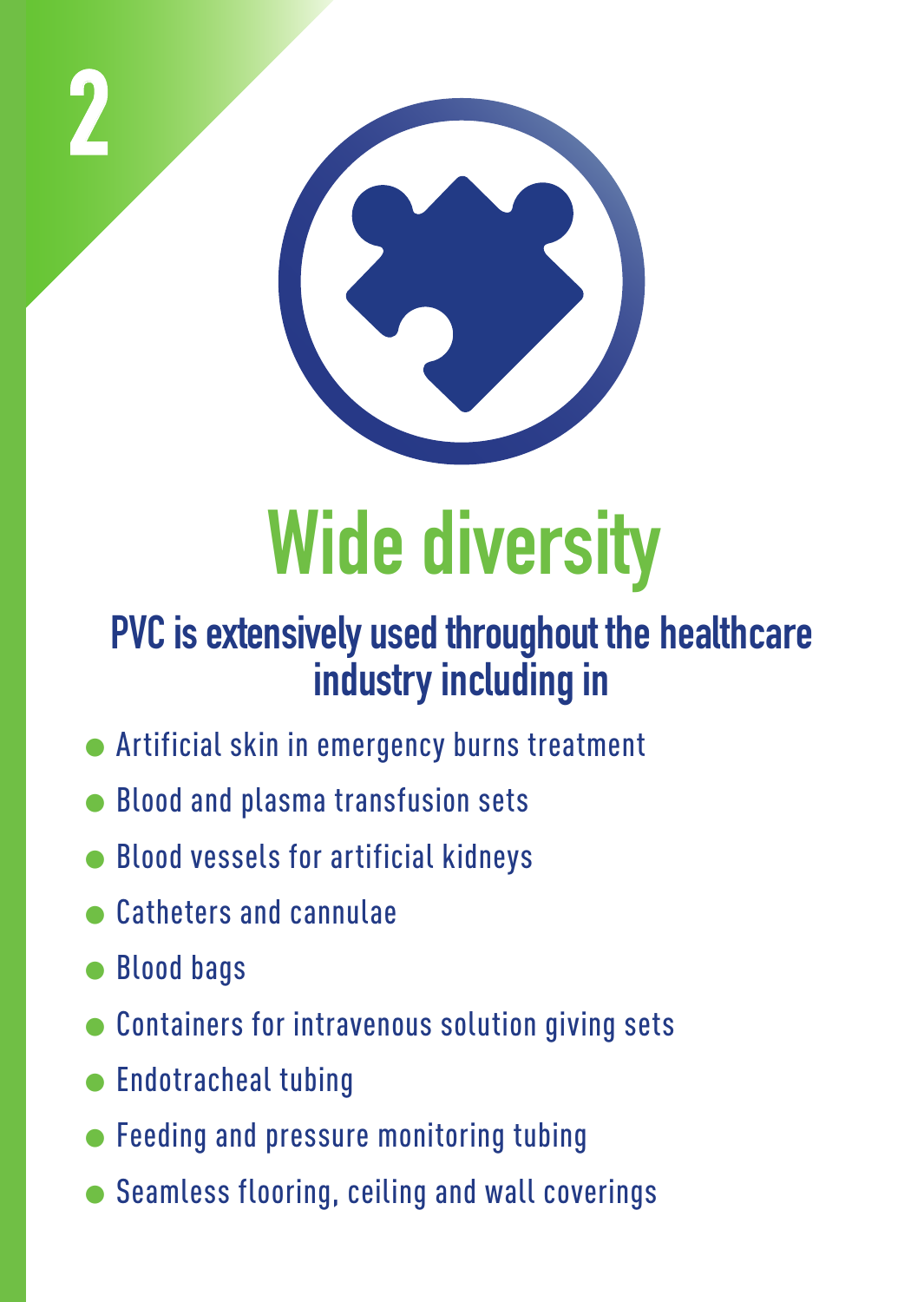

## **Wide diversity**

#### **PVC is extensively used throughout the healthcare industry including in**

- 1Artificial skin in emergency burns treatment
- 1Blood and plasma transfusion sets
- 1Blood vessels for artificial kidneys
- 1Catheters and cannulae
- **Blood bags**

**2**

- 1Containers for intravenous solution giving sets
- $\bullet$  Endotracheal tubing
- $\bullet$  Feeding and pressure monitoring tubing
- $\bullet$  Seamless flooring, ceiling and wall coverings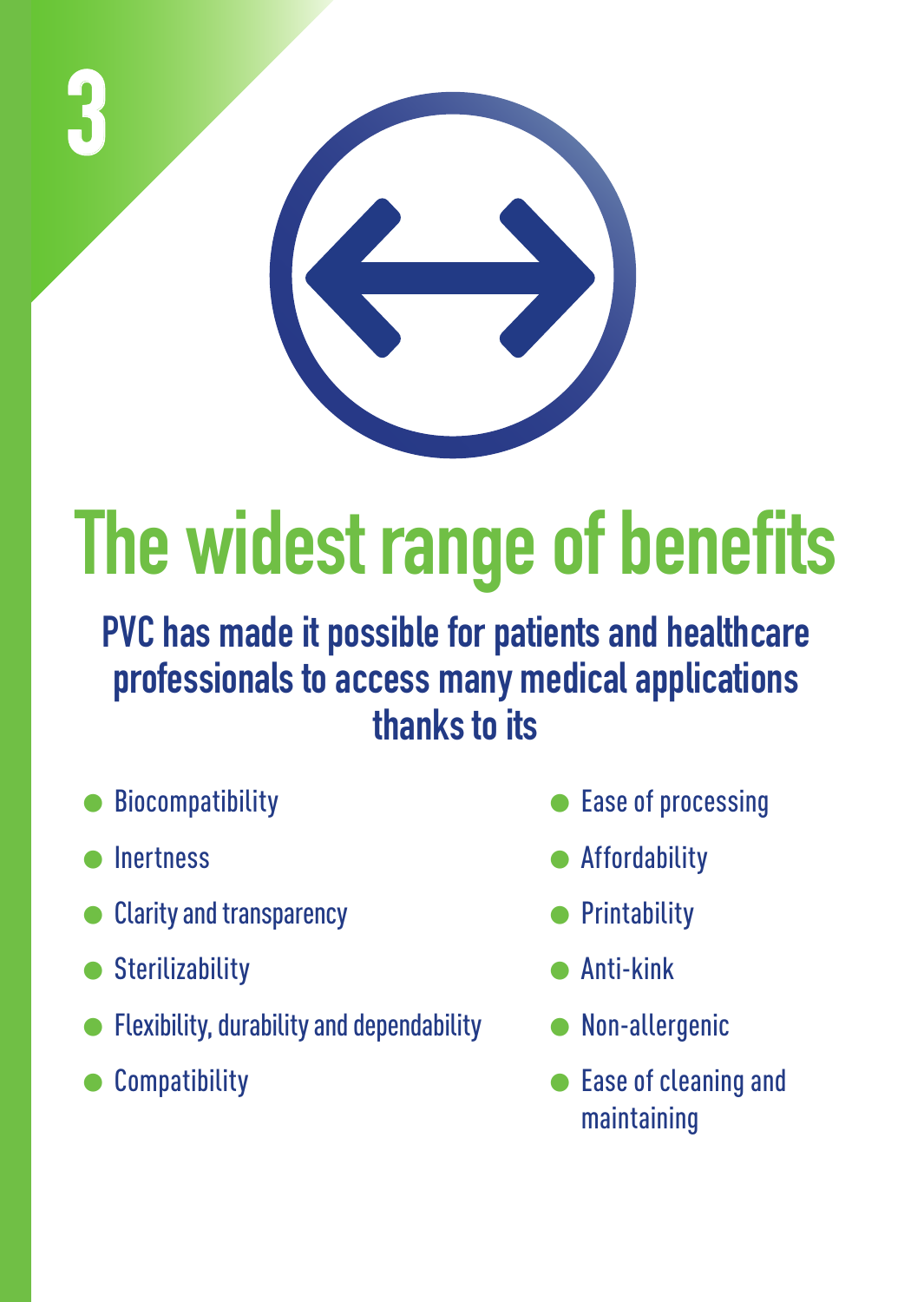

# **The widest range of benefits**

**PVC has made it possible for patients and healthcare professionals to access many medical applications thanks to its** 

- **Biocompatibility**
- **Inertness**
- **Clarity and transparency**
- Sterilizability
- 1Flexibility, durability and dependability
- **Compatibility**
- Ease of processing
- **Affordability**
- **Printability**
- 1Anti-kink
- 1Non-allergenic
- 1Ease of cleaning and maintaining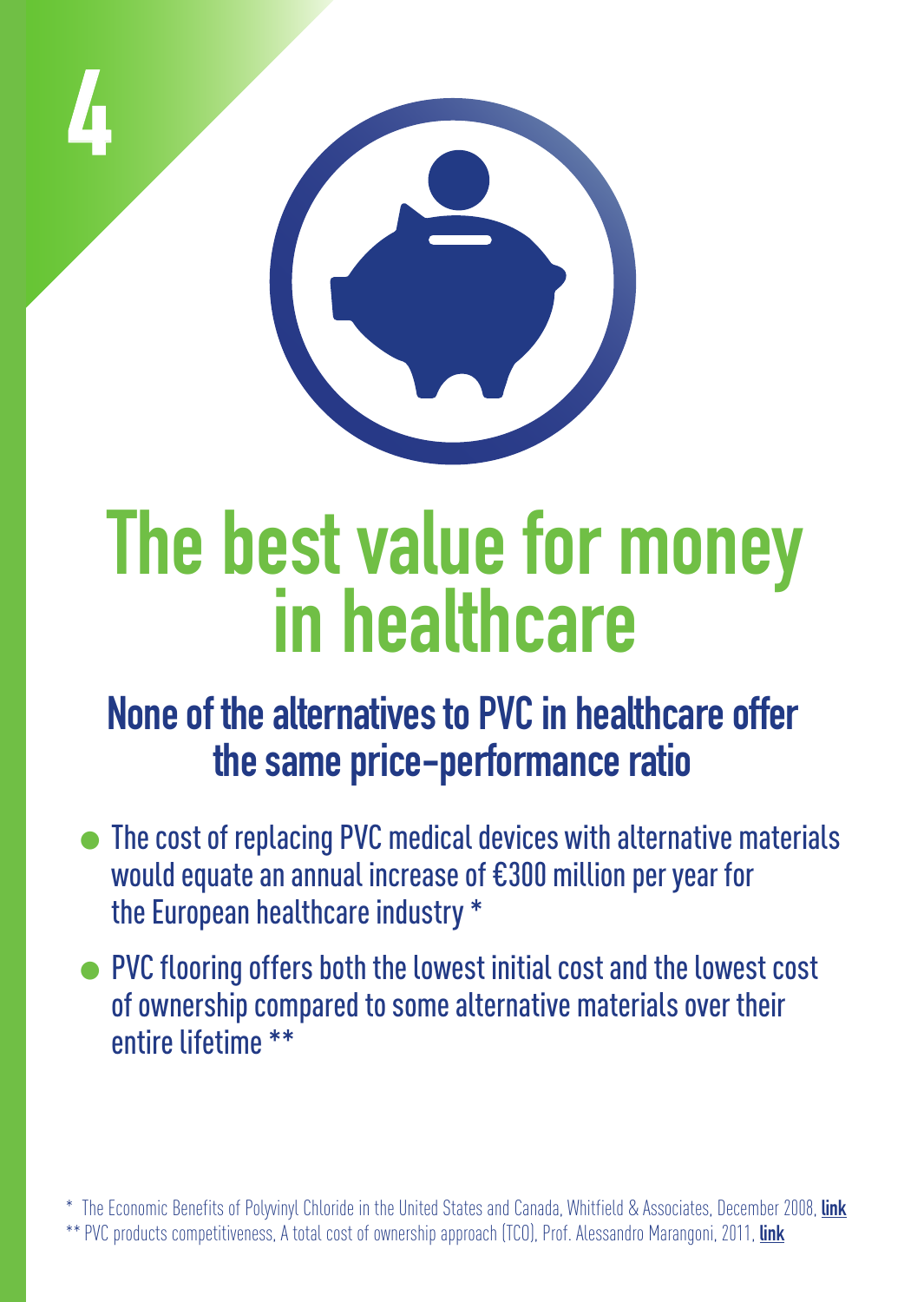



### **The best value for money in healthcare**

#### **None of the alternatives to PVC in healthcare offer the same price-performance ratio**

- $\bullet$  The cost of replacing PVC medical devices with alternative materials would equate an annual increase of €300 million per year for the European healthcare industry \*
- PVC flooring offers both the lowest initial cost and the lowest cost of ownership compared to some alternative materials over their entire lifetime \*\*

\* The Economic Benefits of Polyvinyl Chloride in the United States and Canada, Whitfield & Associates, December 2008, **[link](http://www.pvc.org/upload/documents/The_Economics_of_PVC.pdf)** \*\* PVC products competitiveness, A total cost of ownership approach (TCO), Prof. Alessandro Marangoni, 2011, **[link](http://www.pvc.org/upload/documents/TCO_ppt_ProfMarangoni.pdf)**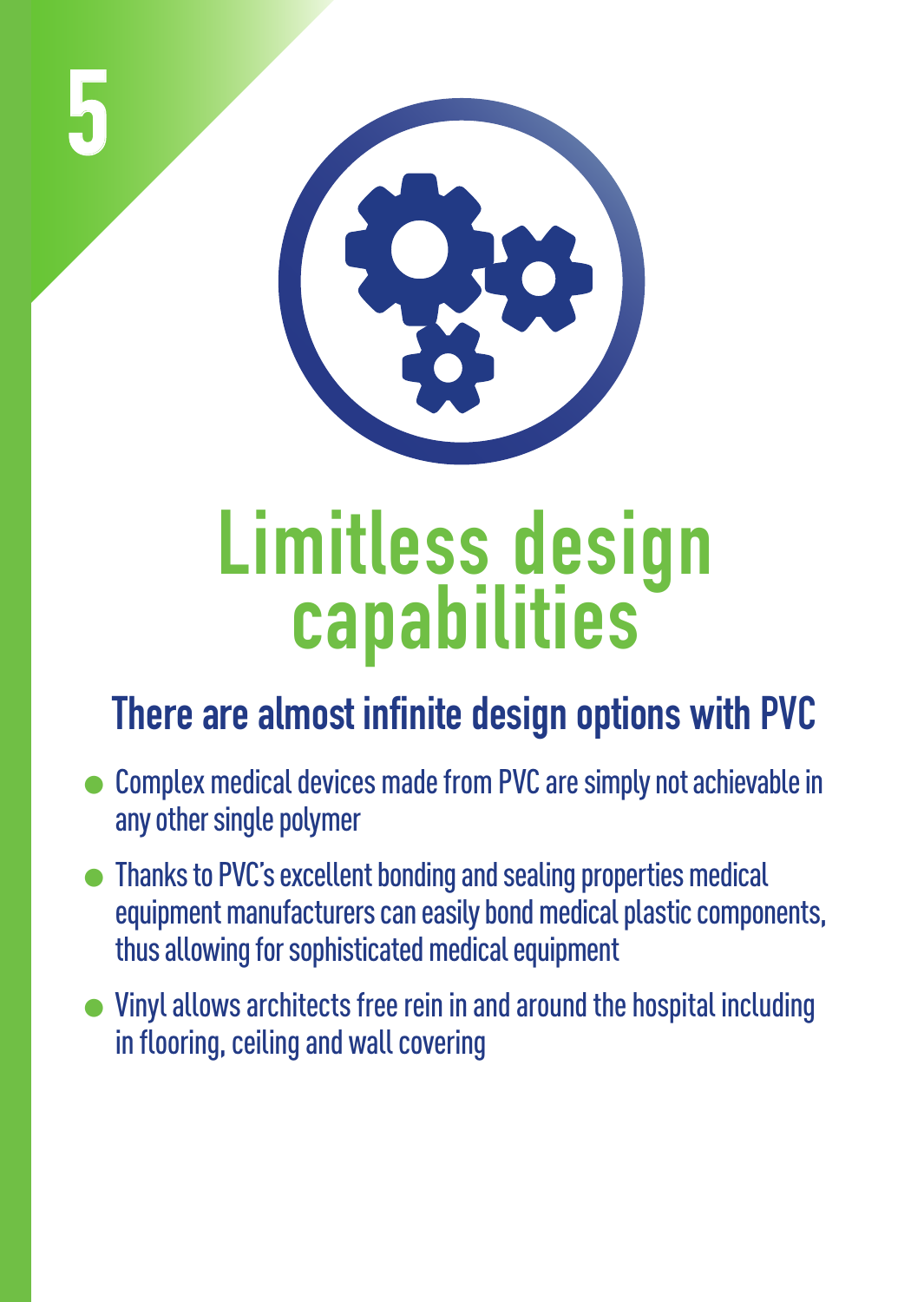



### **Limitless design capabilities**

#### **There are almost infinite design options with PVC**

- 1Complex medical devices made from PVC are simply not achievable in any other single polymer
- 1Thanks to PVC's excellent bonding and sealing properties medical equipment manufacturers can easily bond medical plastic components, thus allowing for sophisticated medical equipment
- $\bullet$  Vinyl allows architects free rein in and around the hospital including in flooring, ceiling and wall covering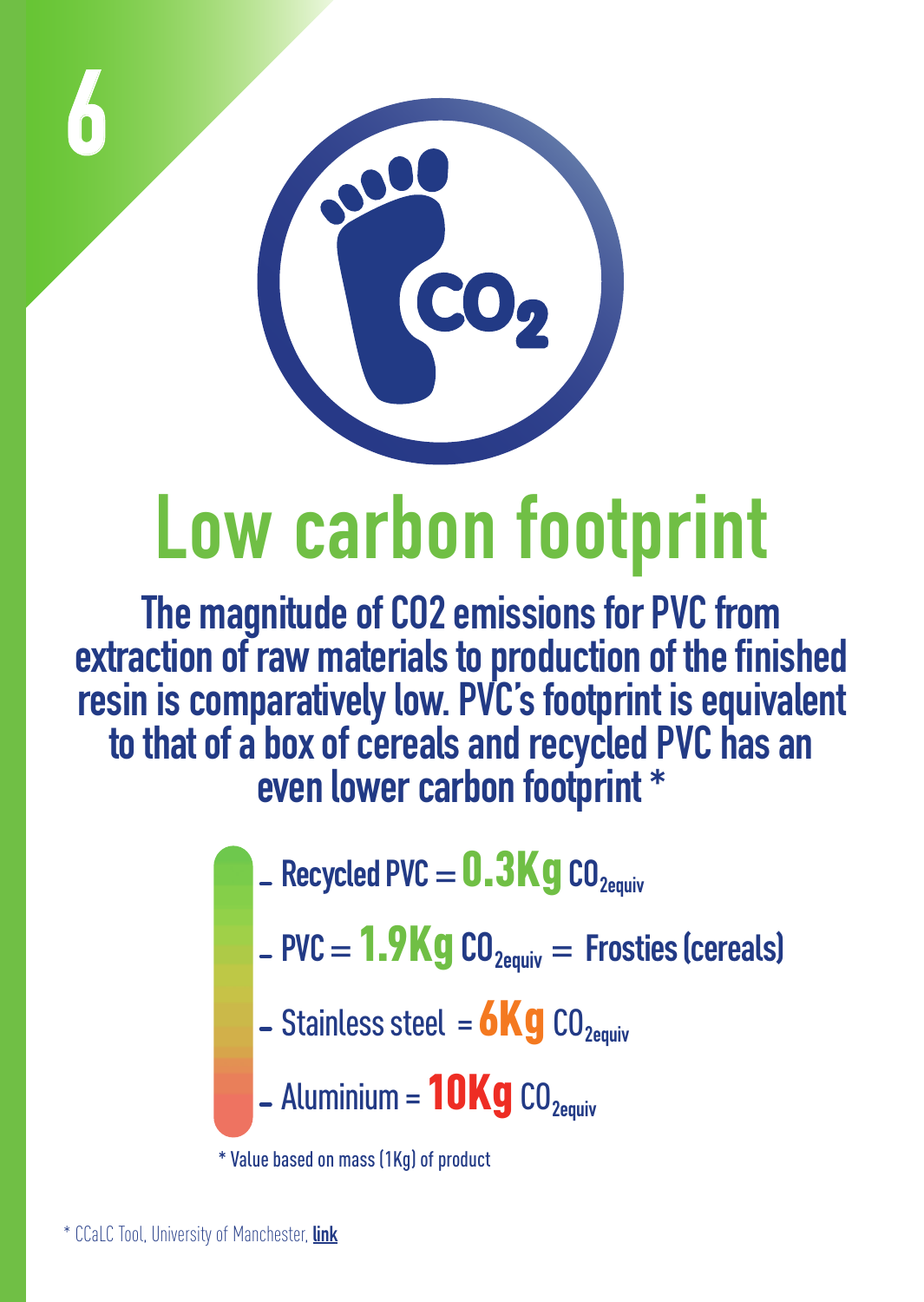



### **Low carbon footprint**

**The magnitude of CO2 emissions for PVC from**  extraction of raw materials to production of the finished **resin is comparatively low. PVC's footprint is equivalent to that of a box of cereals and recycled PVC has an even lower carbon footprint \***

- $R$  Recycled PVC =  $0.3$ **Kg** CO<sub>2equiv</sub>
- $PVC = 1.9$ Kg $CO_{2$ <sub>Pquiv</sub>  $=$  Frosties (cereals)
- $\overline{\phantom{a}}$  Stainless steel = **6Kg** CO<sub>2equiv</sub>
- $-$  Aluminium =  $10Kg$  CO<sub>2equiv</sub>

\* Value based on mass (1Kg) of product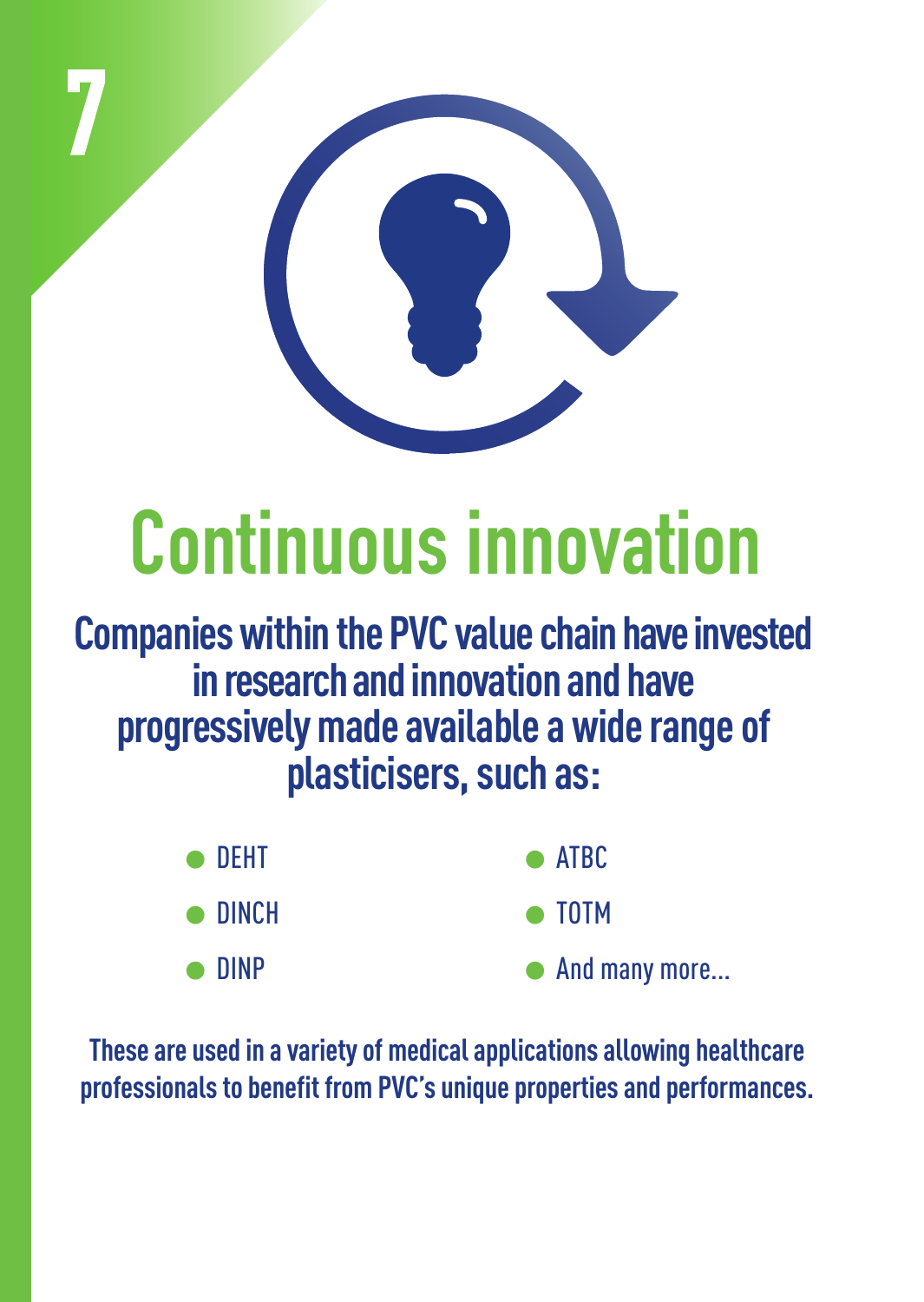

## **Continuous innovation**

**Companies within the PVC value chain have invested in research and innovation and have progressively made available a wide range of plasticisers, such as:**

| $\bullet$ Deht  | $\bullet$ ATBC |
|-----------------|----------------|
| $\bullet$ DINCH | $\bullet$ TOTM |

**ninp** 

And many more...

**These are used in a variety of medical applications allowing healthcare professionals to benefit from PVC's unique properties and performances.**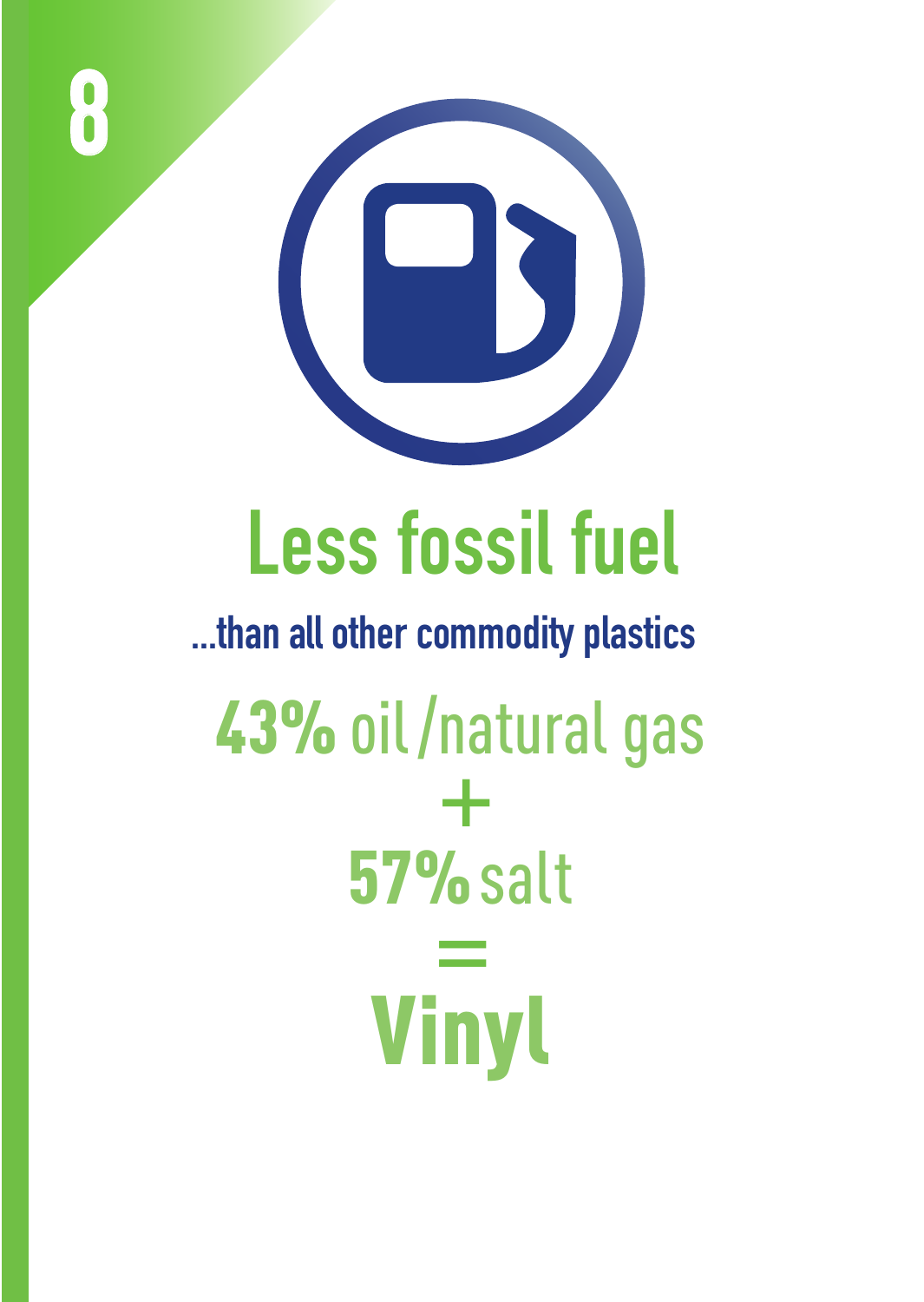

**8**

### **Less fossil fuel**

43% oil/natural gas 57% salt Vinyl **+ = ...than all other commodity plastics**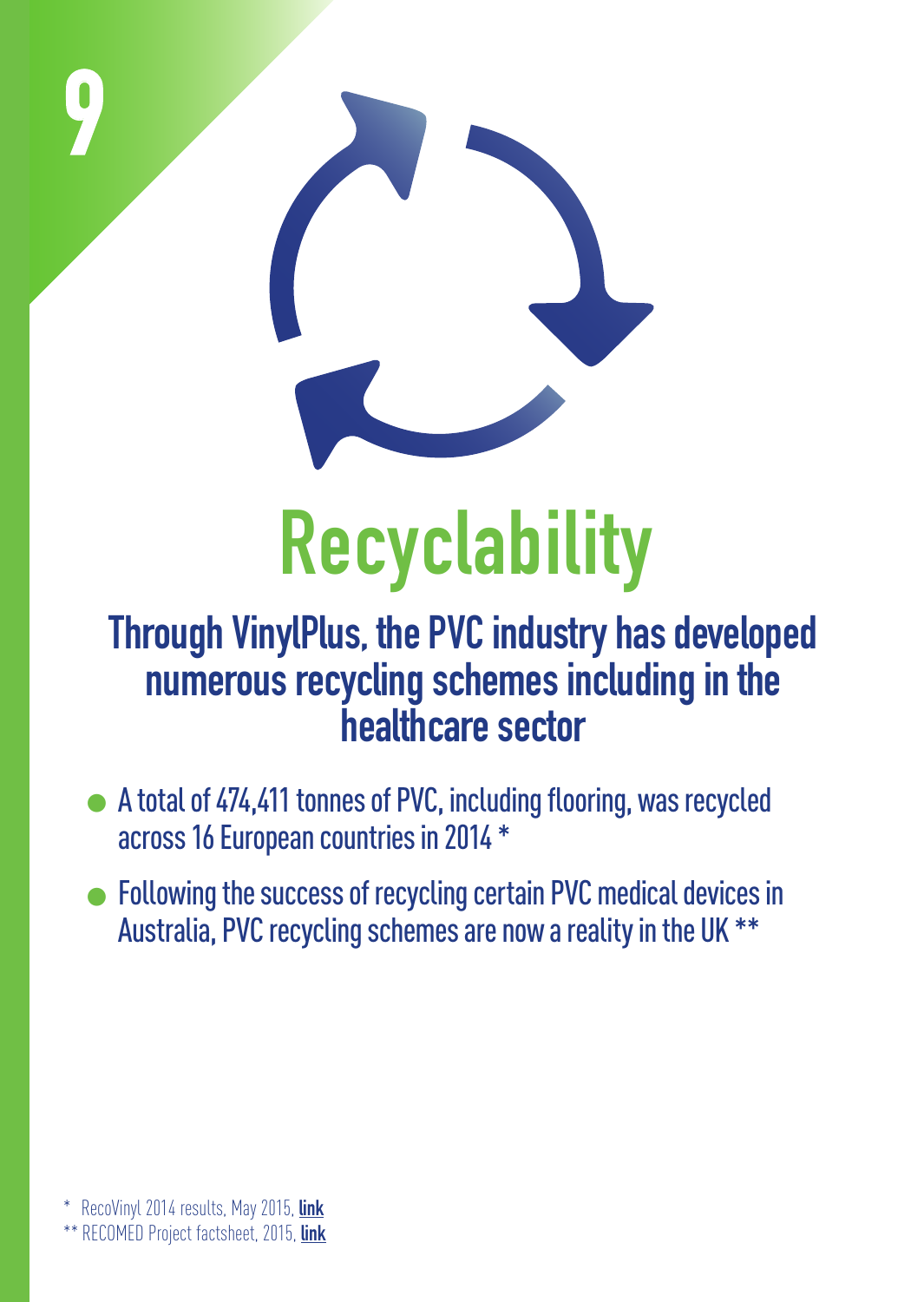

#### **Through VinylPlus, the PVC industry has developed numerous recycling schemes including in the healthcare sector**

- A total of 474,411 tonnes of PVC, including flooring, was recycled across 16 European countries in 2014 \*
- Following the success of recycling certain PVC medical devices in Australia, PVC recycling schemes are now a reality in the UK \*\*

\*\* RECOMED Project factsheet, 2015, **[link](http://pvcmed.org/wp-content/uploads/2015/05/RECOMED_case_study_PRINT.pdf)**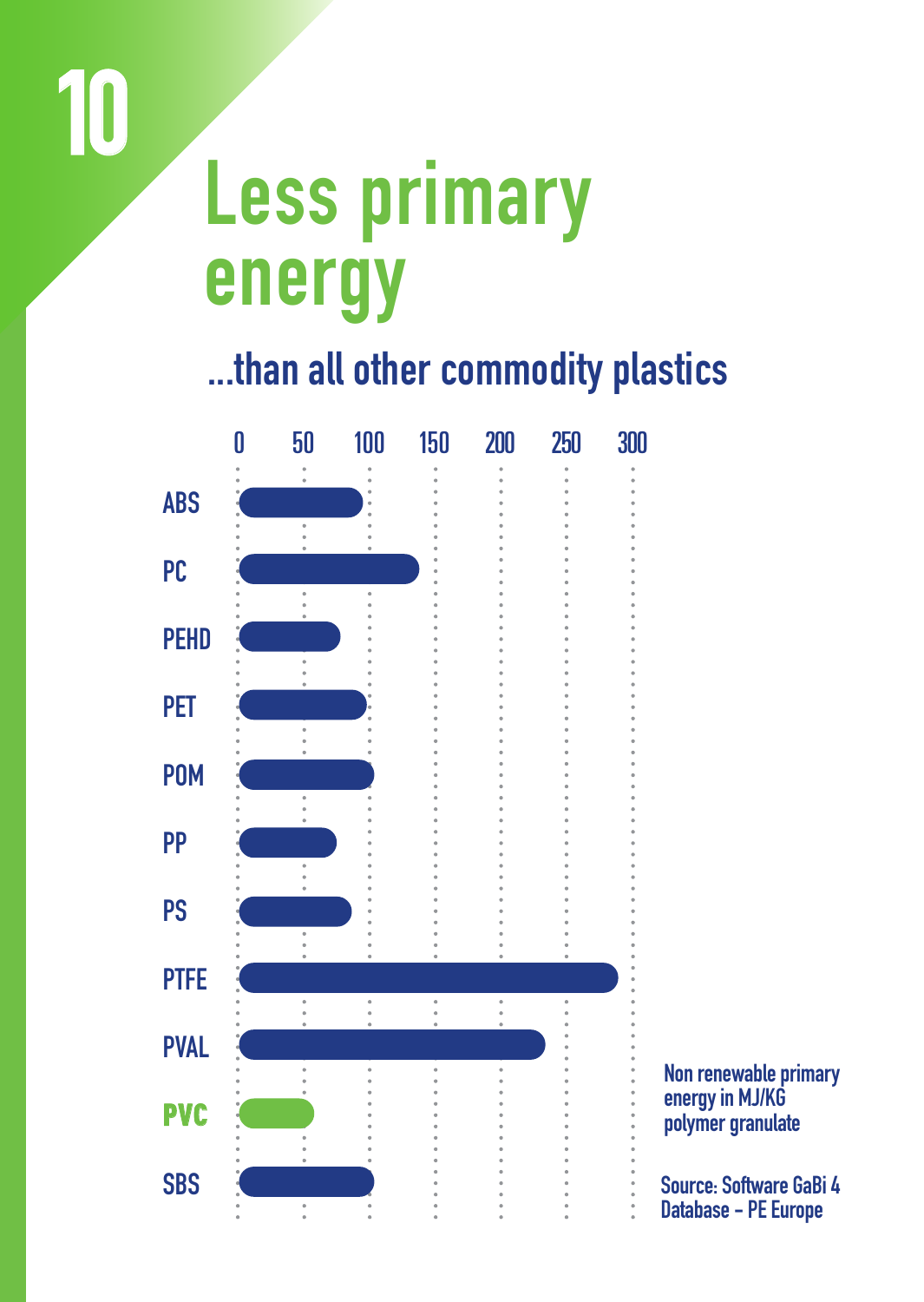### **Less Primary Less primary Energy energy**

**10**

**10**

#### **...than all other commodity plastics**